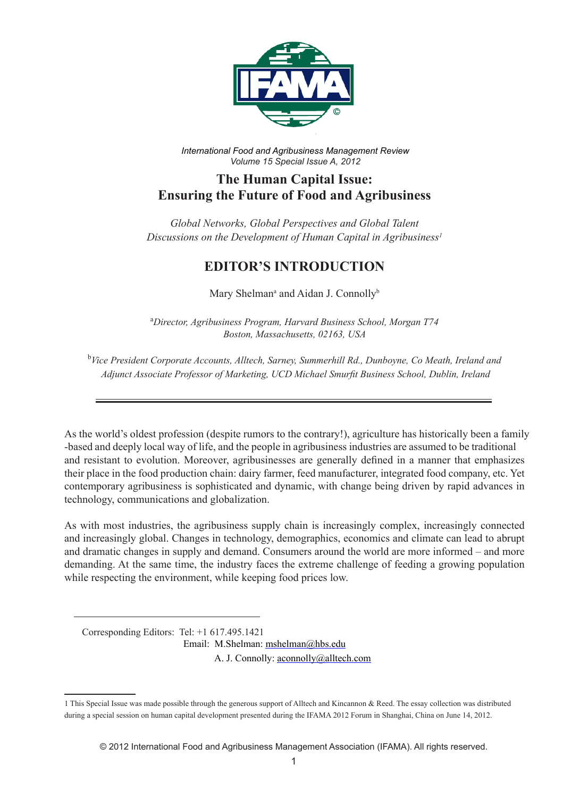

*International Food and Agribusiness Management Review Volume 15 Special Issue A, 2012*

## **The Human Capital Issue: Ensuring the Future of Food and Agribusiness**

*Global Networks, Global Perspectives and Global Talent Discussions on the Development of Human Capital in Agribusiness1*

## **EDITOR'S INTRODUCTION**

Mary Shelman<sup>a</sup> and Aidan J. Connolly<sup>b</sup>

a *Director, Agribusiness Program, Harvard Business School, Morgan T74 Boston, Massachusetts, 02163, USA*

b *Vice President Corporate Accounts, Alltech, Sarney, Summerhill Rd., Dunboyne, Co Meath, Ireland and Adjunct Associate Professor of Marketing, UCD Michael Smurfit Business School, Dublin, Ireland*

As the world's oldest profession (despite rumors to the contrary!), agriculture has historically been a family -based and deeply local way of life, and the people in agribusiness industries are assumed to be traditional and resistant to evolution. Moreover, agribusinesses are generally defined in a manner that emphasizes their place in the food production chain: dairy farmer, feed manufacturer, integrated food company, etc. Yet contemporary agribusiness is sophisticated and dynamic, with change being driven by rapid advances in technology, communications and globalization.

As with most industries, the agribusiness supply chain is increasingly complex, increasingly connected and increasingly global. Changes in technology, demographics, economics and climate can lead to abrupt and dramatic changes in supply and demand. Consumers around the world are more informed – and more demanding. At the same time, the industry faces the extreme challenge of feeding a growing population while respecting the environment, while keeping food prices low.

Corresponding Editors: Tel: +1 617.495.1421

Email: M.Shelman: mshelman@hbs.edu

A. J. Connolly: aconnolly@alltech.com

<sup>1</sup> This Special Issue was made possible through the generous support of Alltech and Kincannon & Reed. The essay collection was distributed during a special session on human capital development presented during the IFAMA 2012 Forum in Shanghai, China on June 14, 2012.